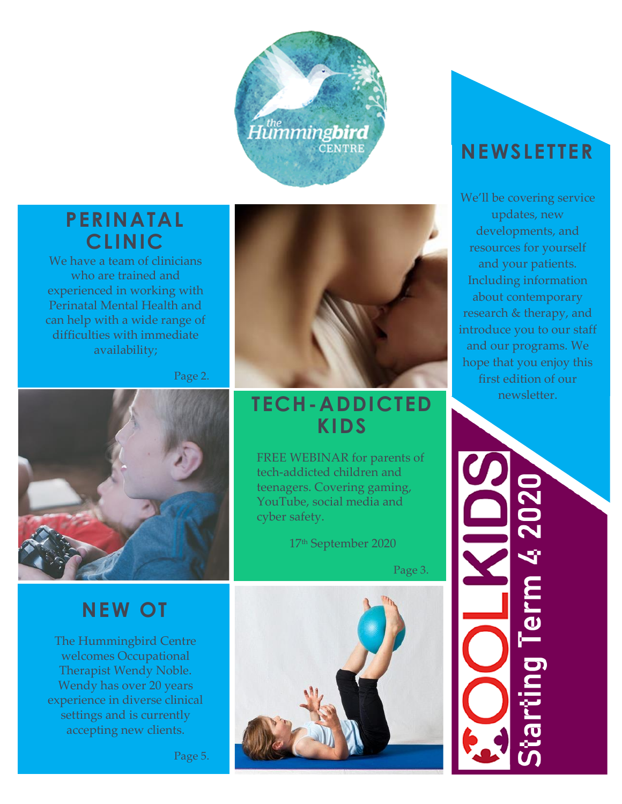

### **PERINATAL CLINIC**

We have a team of clinicians who are trained and experienced in working with Perinatal Mental Health and can help with a wide range of difficulties with immediate availability;

Page 2.



## **NEW OT**

The Hummingbird Centre welcomes Occupational Therapist Wendy Noble. Wendy has over 20 years experience in diverse clinical settings and is currently accepting new clients.



### **TECH-ADDICTED KIDS**

FREE WEBINAR for parents of tech-addicted children and teenagers. Covering gaming, YouTube, social media and cyber safety.

17th September 2020

Page 3.



## **NEWSLETTER**

We'll be covering service updates, new developments, and resources for yourself and your patients. Including information about contemporary research & therapy, and introduce you to our staff and our programs. We hope that you enjoy this first edition of our newsletter.

Term 4.20 $2$ 

Page 5.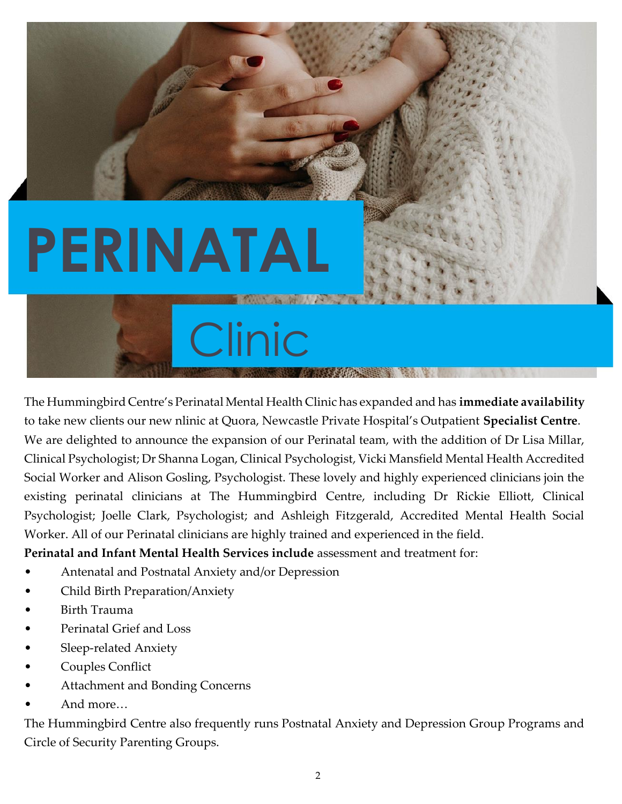# **PERINATAL**

# Clinic **ALCOHOL: AND ARRESTS**

The Hummingbird Centre's Perinatal Mental Health Clinic has expanded and has **immediate availability** to take new clients our new nlinic at Quora, Newcastle Private Hospital's Outpatient **Specialist Centre**. We are delighted to announce the expansion of our Perinatal team, with the addition of Dr Lisa Millar, Clinical Psychologist; Dr Shanna Logan, Clinical Psychologist, Vicki Mansfield Mental Health Accredited Social Worker and Alison Gosling, Psychologist. These lovely and highly experienced clinicians join the existing perinatal clinicians at The Hummingbird Centre, including Dr Rickie Elliott, Clinical Psychologist; Joelle Clark, Psychologist; and Ashleigh Fitzgerald, Accredited Mental Health Social Worker. All of our Perinatal clinicians are highly trained and experienced in the field.

**Perinatal and Infant Mental Health Services include** assessment and treatment for:

- Antenatal and Postnatal Anxiety and/or Depression
- Child Birth Preparation/Anxiety
- Birth Trauma
- Perinatal Grief and Loss
- Sleep-related Anxiety
- Couples Conflict
- Attachment and Bonding Concerns
- And more…

The Hummingbird Centre also frequently runs Postnatal Anxiety and Depression Group Programs and Circle of Security Parenting Groups.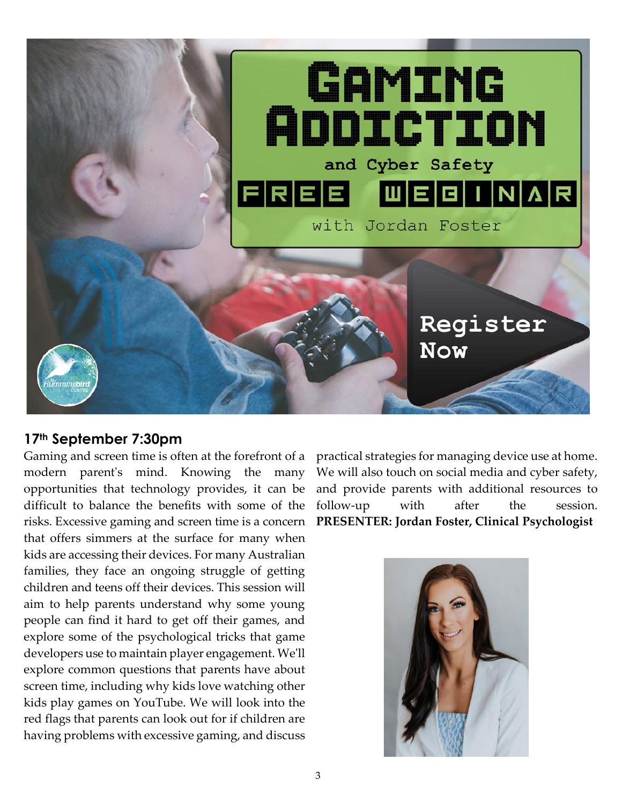

#### **17th September 7:30pm**

Gaming and screen time is often at the forefront of a modern parent's mind. Knowing the many opportunities that technology provides, it can be difficult to balance the benefits with some of the risks. Excessive gaming and screen time is a concern that offers simmers at the surface for many when kids are accessing their devices. For many Australian families, they face an ongoing struggle of getting children and teens off their devices. This session will aim to help parents understand why some young people can find it hard to get off their games, and explore some of the psychological tricks that game developers use to maintain player engagement. We'll explore common questions that parents have about screen time, including why kids love watching other kids play games on YouTube. We will look into the red flags that parents can look out for if children are having problems with excessive gaming, and discuss

practical strategies for managing device use at home. We will also touch on social media and cyber safety, and provide parents with additional resources to follow-up with after the session. **PRESENTER: Jordan Foster, Clinical Psychologist**

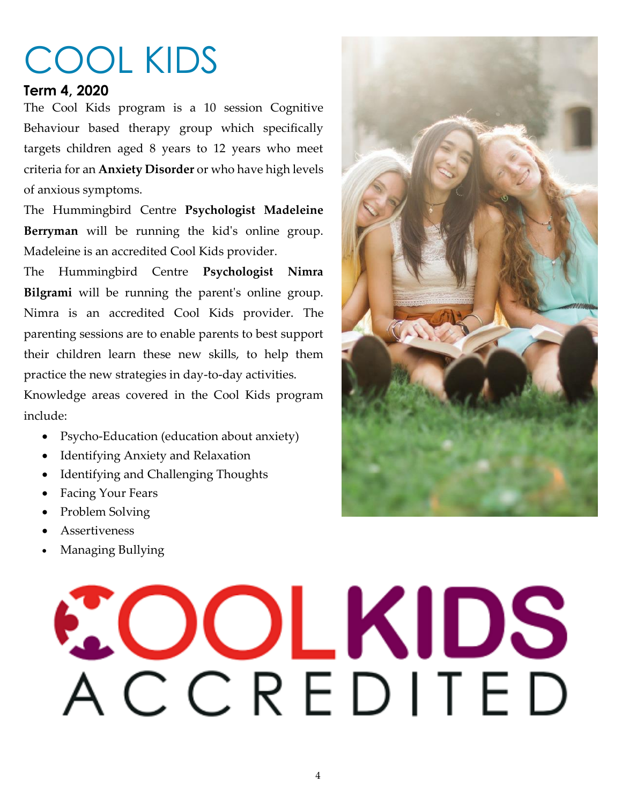# COOL KIDS

#### **Term 4, 2020**

The Cool Kids program is a 10 session Cognitive Behaviour based therapy group which specifically targets children aged 8 years to 12 years who meet criteria for an **Anxiety Disorder** or who have high levels of anxious symptoms.

The Hummingbird Centre **Psychologist Madeleine Berryman** will be running the kid's online group. Madeleine is an accredited Cool Kids provider.

The Hummingbird Centre **Psychologist Nimra Bilgrami** will be running the parent's online group. Nimra is an accredited Cool Kids provider. The parenting sessions are to enable parents to best support their children learn these new skills, to help them practice the new strategies in day-to-day activities.

Knowledge areas covered in the Cool Kids program include:

- Psycho-Education (education about anxiety)
- Identifying Anxiety and Relaxation
- Identifying and Challenging Thoughts
- Facing Your Fears
- Problem Solving
- Assertiveness
- Managing Bullying

# COLKIDS ACCREDITED